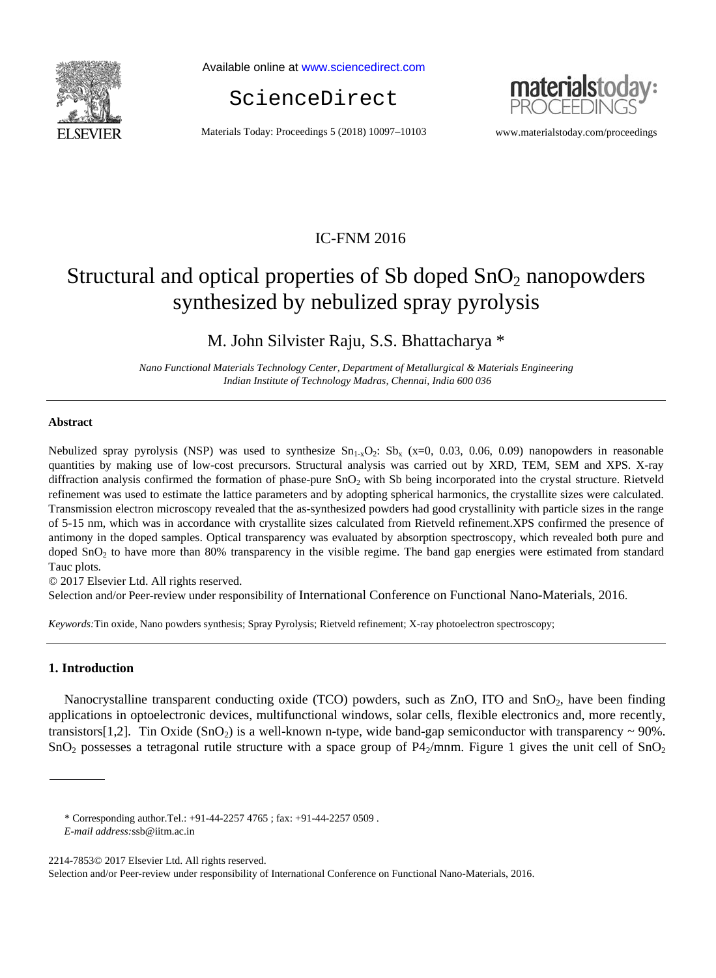

Available online at www.sciencedirect.com





Materials Today: Proceedings 5 (2018) 10097–10103 www.materialstoday.com/proceedings

# IC-FNM 2016

# Structural and optical properties of Sb doped  $SnO<sub>2</sub>$  nanopowders synthesized by nebulized spray pyrolysis

M. John Silvister Raju, S.S. Bhattacharya \*

*Nano Functional Materials Technology Center, Department of Metallurgical & Materials Engineering Indian Institute of Technology Madras, Chennai, India 600 036* 

#### **Abstract**

Nebulized spray pyrolysis (NSP) was used to synthesize  $Sn_{1-x}O_2$ :  $Sb_x$  (x=0, 0.03, 0.06, 0.09) nanopowders in reasonable quantities by making use of low-cost precursors. Structural analysis was carried out by XRD, TEM, SEM and XPS. X-ray diffraction analysis confirmed the formation of phase-pure SnO<sub>2</sub> with Sb being incorporated into the crystal structure. Rietveld refinement was used to estimate the lattice parameters and by adopting spherical harmonics, the crystallite sizes were calculated. Transmission electron microscopy revealed that the as-synthesized powders had good crystallinity with particle sizes in the range of 5-15 nm, which was in accordance with crystallite sizes calculated from Rietveld refinement.XPS confirmed the presence of antimony in the doped samples. Optical transparency was evaluated by absorption spectroscopy, which revealed both pure and doped  $SnO<sub>2</sub>$  to have more than 80% transparency in the visible regime. The band gap energies were estimated from standard Tauc plots.

© 2017 Elsevier Ltd. All rights reserved.

Selection and/or Peer-review under responsibility of International Conference on Functional Nano-Materials, 2016.

*Keywords:*Tin oxide, Nano powders synthesis; Spray Pyrolysis; Rietveld refinement; X-ray photoelectron spectroscopy;

#### **1. Introduction**

Nanocrystalline transparent conducting oxide (TCO) powders, such as ZnO, ITO and SnO<sub>2</sub>, have been finding applications in optoelectronic devices, multifunctional windows, solar cells, flexible electronics and, more recently, transistors[1,2]. Tin Oxide  $(SnO<sub>2</sub>)$  is a well-known n-type, wide band-gap semiconductor with transparency  $\sim$  90%. SnO<sub>2</sub> possesses a tetragonal rutile structure with a space group of  $P4_2/mnm$ . Figure 1 gives the unit cell of SnO<sub>2</sub>

<sup>\*</sup> Corresponding author.Tel.: +91-44-2257 4765 ; fax: +91-44-2257 0509 .

*E-mail address:*ssb@iitm.ac.in

<sup>2214-7853© 2017</sup> Elsevier Ltd. All rights reserved.

Selection and/or Peer-review under responsibility of International Conference on Functional Nano-Materials, 2016.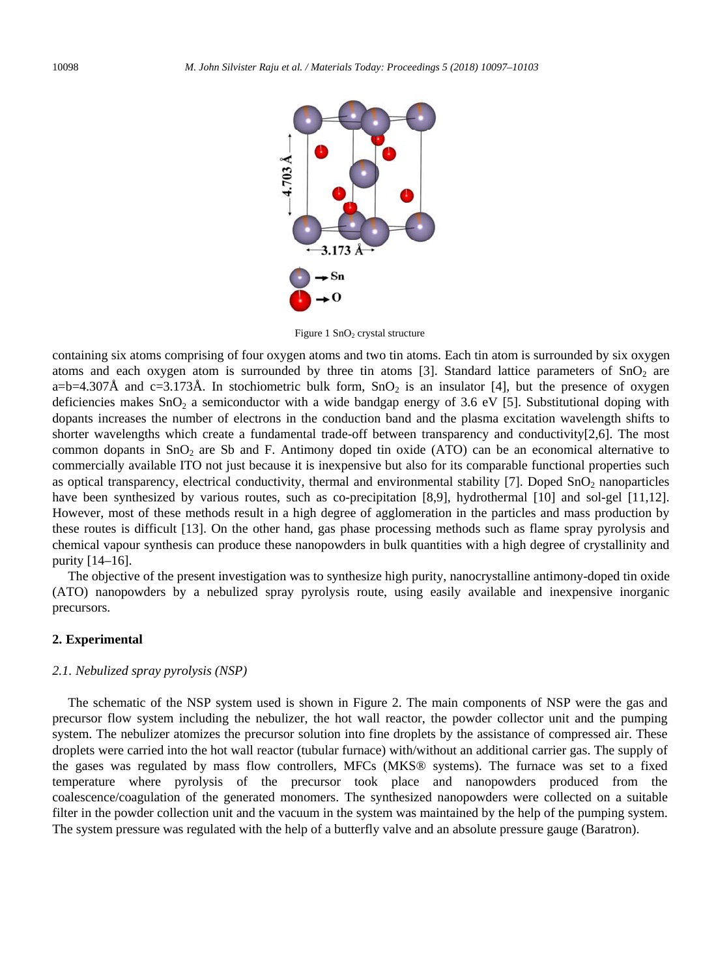

Figure 1  $SnO<sub>2</sub>$  crystal structure

containing six atoms comprising of four oxygen atoms and two tin atoms. Each tin atom is surrounded by six oxygen atoms and each oxygen atom is surrounded by three tin atoms [3]. Standard lattice parameters of  $SnO<sub>2</sub>$  are a=b=4.307Å and c=3.173Å. In stochiometric bulk form,  $SnO<sub>2</sub>$  is an insulator [4], but the presence of oxygen deficiencies makes  $SnO<sub>2</sub>$  a semiconductor with a wide bandgap energy of 3.6 eV [5]. Substitutional doping with dopants increases the number of electrons in the conduction band and the plasma excitation wavelength shifts to shorter wavelengths which create a fundamental trade-off between transparency and conductivity[2,6]. The most common dopants in  $SnO<sub>2</sub>$  are Sb and F. Antimony doped tin oxide (ATO) can be an economical alternative to commercially available ITO not just because it is inexpensive but also for its comparable functional properties such as optical transparency, electrical conductivity, thermal and environmental stability [7]. Doped  $SnO<sub>2</sub>$  nanoparticles have been synthesized by various routes, such as co-precipitation [8,9], hydrothermal [10] and sol-gel [11,12]. However, most of these methods result in a high degree of agglomeration in the particles and mass production by these routes is difficult [13]. On the other hand, gas phase processing methods such as flame spray pyrolysis and chemical vapour synthesis can produce these nanopowders in bulk quantities with a high degree of crystallinity and purity [14–16].

The objective of the present investigation was to synthesize high purity, nanocrystalline antimony-doped tin oxide (ATO) nanopowders by a nebulized spray pyrolysis route, using easily available and inexpensive inorganic precursors.

# **2. Experimental**

# *2.1. Nebulized spray pyrolysis (NSP)*

The schematic of the NSP system used is shown in Figure 2. The main components of NSP were the gas and precursor flow system including the nebulizer, the hot wall reactor, the powder collector unit and the pumping system. The nebulizer atomizes the precursor solution into fine droplets by the assistance of compressed air. These droplets were carried into the hot wall reactor (tubular furnace) with/without an additional carrier gas. The supply of the gases was regulated by mass flow controllers, MFCs (MKS® systems). The furnace was set to a fixed temperature where pyrolysis of the precursor took place and nanopowders produced from the coalescence/coagulation of the generated monomers. The synthesized nanopowders were collected on a suitable filter in the powder collection unit and the vacuum in the system was maintained by the help of the pumping system. The system pressure was regulated with the help of a butterfly valve and an absolute pressure gauge (Baratron).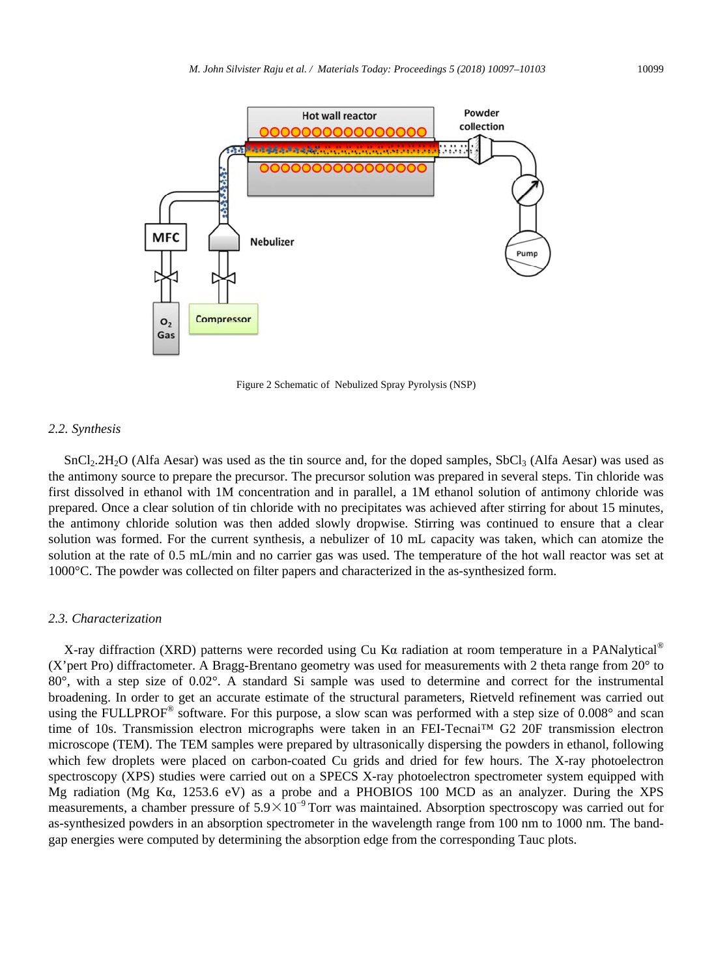

Figure 2 Schematic of Nebulized Spray Pyrolysis (NSP)

#### *2.2. Synthesis*

SnCl<sub>2</sub>.2H<sub>2</sub>O (Alfa Aesar) was used as the tin source and, for the doped samples, SbCl<sub>3</sub> (Alfa Aesar) was used as the antimony source to prepare the precursor. The precursor solution was prepared in several steps. Tin chloride was first dissolved in ethanol with 1M concentration and in parallel, a 1M ethanol solution of antimony chloride was prepared. Once a clear solution of tin chloride with no precipitates was achieved after stirring for about 15 minutes, the antimony chloride solution was then added slowly dropwise. Stirring was continued to ensure that a clear solution was formed. For the current synthesis, a nebulizer of 10 mL capacity was taken, which can atomize the solution at the rate of 0.5 mL/min and no carrier gas was used. The temperature of the hot wall reactor was set at 1000°C. The powder was collected on filter papers and characterized in the as-synthesized form.

#### *2.3. Characterization*

X-ray diffraction (XRD) patterns were recorded using Cu K $\alpha$  radiation at room temperature in a PANalytical<sup>®</sup> (X'pert Pro) diffractometer. A Bragg-Brentano geometry was used for measurements with 2 theta range from 20° to 80°, with a step size of 0.02°. A standard Si sample was used to determine and correct for the instrumental broadening. In order to get an accurate estimate of the structural parameters, Rietveld refinement was carried out using the FULLPROF<sup>®</sup> software. For this purpose, a slow scan was performed with a step size of 0.008° and scan time of 10s. Transmission electron micrographs were taken in an FEI-Tecnai™ G2 20F transmission electron microscope (TEM). The TEM samples were prepared by ultrasonically dispersing the powders in ethanol, following which few droplets were placed on carbon-coated Cu grids and dried for few hours. The X-ray photoelectron spectroscopy (XPS) studies were carried out on a SPECS X-ray photoelectron spectrometer system equipped with Mg radiation (Mg Kα, 1253.6 eV) as a probe and a PHOBIOS 100 MCD as an analyzer. During the XPS measurements, a chamber pressure of 5.9×10<sup>-9</sup> Torr was maintained. Absorption spectroscopy was carried out for as-synthesized powders in an absorption spectrometer in the wavelength range from 100 nm to 1000 nm. The bandgap energies were computed by determining the absorption edge from the corresponding Tauc plots.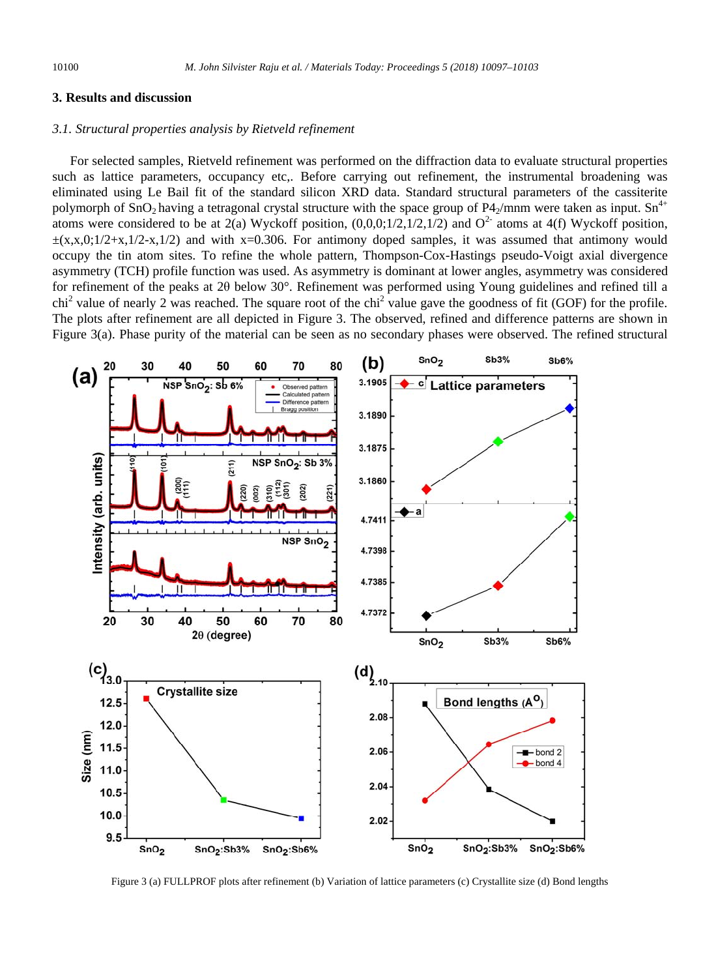#### **3. Results and discussion**

### *3.1. Structural properties analysis by Rietveld refinement*

For selected samples, Rietveld refinement was performed on the diffraction data to evaluate structural properties such as lattice parameters, occupancy etc.. Before carrying out refinement, the instrumental broadening was eliminated using Le Bail fit of the standard silicon XRD data. Standard structural parameters of the cassiterite polymorph of SnO<sub>2</sub> having a tetragonal crystal structure with the space group of P4<sub>2</sub>/mnm were taken as input. Sn<sup>4+</sup> atoms were considered to be at 2(a) Wyckoff position,  $(0,0,0;1/2,1/2,1/2)$  and  $O^2$  atoms at 4(f) Wyckoff position,  $\pm$ (x,x,0;1/2+x,1/2-x,1/2) and with x=0.306. For antimony doped samples, it was assumed that antimony would occupy the tin atom sites. To refine the whole pattern, Thompson-Cox-Hastings pseudo-Voigt axial divergence asymmetry (TCH) profile function was used. As asymmetry is dominant at lower angles, asymmetry was considered for refinement of the peaks at 2θ below 30°. Refinement was performed using Young guidelines and refined till a chi<sup>2</sup> value of nearly 2 was reached. The square root of the chi<sup>2</sup> value gave the goodness of fit (GOF) for the profile. The plots after refinement are all depicted in Figure 3. The observed, refined and difference patterns are shown in Figure 3(a). Phase purity of the material can be seen as no secondary phases were observed. The refined structural



Figure 3 (a) FULLPROF plots after refinement (b) Variation of lattice parameters (c) Crystallite size (d) Bond lengths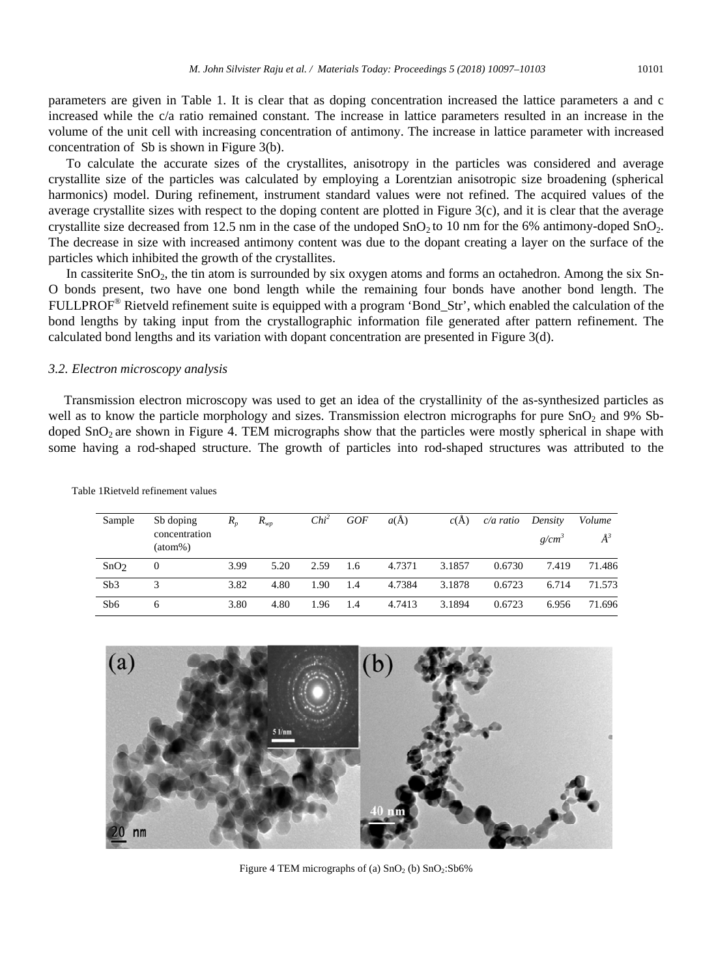parameters are given in Table 1. It is clear that as doping concentration increased the lattice parameters a and c increased while the c/a ratio remained constant. The increase in lattice parameters resulted in an increase in the volume of the unit cell with increasing concentration of antimony. The increase in lattice parameter with increased concentration of Sb is shown in Figure 3(b).

To calculate the accurate sizes of the crystallites, anisotropy in the particles was considered and average crystallite size of the particles was calculated by employing a Lorentzian anisotropic size broadening (spherical harmonics) model. During refinement, instrument standard values were not refined. The acquired values of the average crystallite sizes with respect to the doping content are plotted in Figure 3(c), and it is clear that the average crystallite size decreased from 12.5 nm in the case of the undoped  $SnO<sub>2</sub>$  to 10 nm for the 6% antimony-doped  $SnO<sub>2</sub>$ . The decrease in size with increased antimony content was due to the dopant creating a layer on the surface of the particles which inhibited the growth of the crystallites.

In cassiterite SnO<sub>2</sub>, the tin atom is surrounded by six oxygen atoms and forms an octahedron. Among the six Sn-O bonds present, two have one bond length while the remaining four bonds have another bond length. The FULLPROF® Rietveld refinement suite is equipped with a program 'Bond\_Str', which enabled the calculation of the bond lengths by taking input from the crystallographic information file generated after pattern refinement. The calculated bond lengths and its variation with dopant concentration are presented in Figure 3(d).

#### *3.2. Electron microscopy analysis*

Transmission electron microscopy was used to get an idea of the crystallinity of the as-synthesized particles as well as to know the particle morphology and sizes. Transmission electron micrographs for pure  $SnO<sub>2</sub>$  and 9% Sbdoped SnO<sub>2</sub> are shown in Figure 4. TEM micrographs show that the particles were mostly spherical in shape with some having a rod-shaped structure. The growth of particles into rod-shaped structures was attributed to the

| Sample           | Sb doping<br>concentration | $R_{n}$ | $R_{\tiny WD}$ | $Chi^2$ | <b>GOF</b> | $a(\overline{A})$ | c(A)   | c/a ratio | Density    | Volume  |
|------------------|----------------------------|---------|----------------|---------|------------|-------------------|--------|-----------|------------|---------|
|                  | $(atom\%)$                 |         |                |         |            |                   |        |           | $g/cm^{3}$ | $\AA^3$ |
| SnO <sub>2</sub> | 0                          | 3.99    | 5.20           | 2.59    | 1.6        | 4.7371            | 3.1857 | 0.6730    | 7.419      | 71.486  |
| Sb3              | 3                          | 3.82    | 4.80           | 1.90    | 1.4        | 4.7384            | 3.1878 | 0.6723    | 6.714      | 71.573  |
| Sb <sub>6</sub>  | b                          | 3.80    | 4.80           | 1.96    | 1.4        | 4.7413            | 3.1894 | 0.6723    | 6.956      | 71.696  |

Table 1Rietveld refinement values



Figure 4 TEM micrographs of (a)  $SnO<sub>2</sub>$  (b)  $SnO<sub>2</sub>:Sb6%$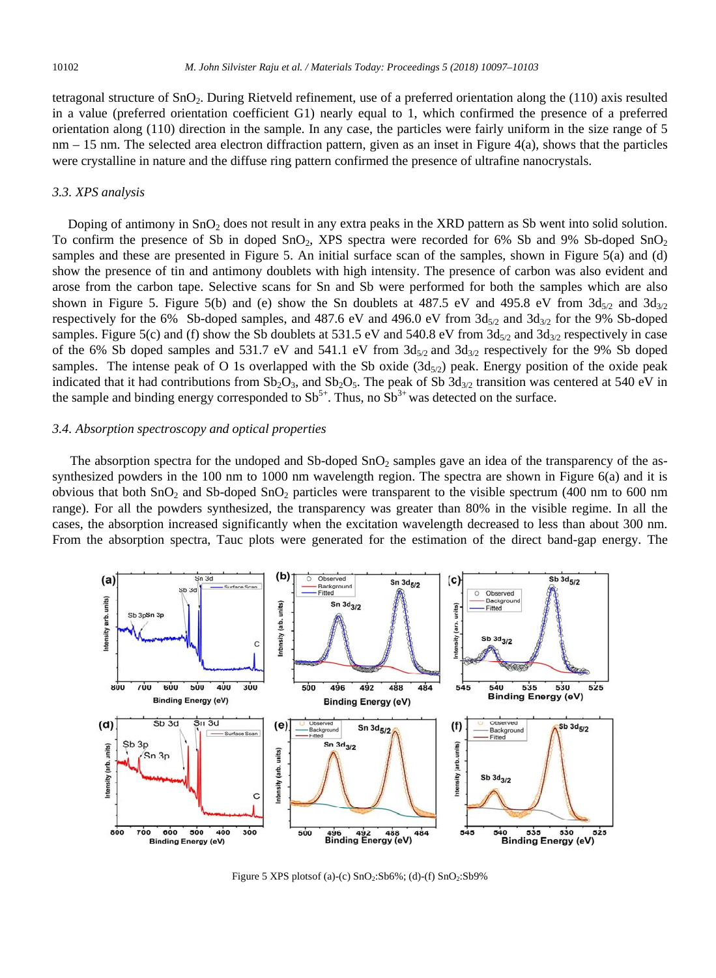tetragonal structure of  $SnO<sub>2</sub>$ . During Rietveld refinement, use of a preferred orientation along the (110) axis resulted in a value (preferred orientation coefficient G1) nearly equal to 1, which confirmed the presence of a preferred orientation along (110) direction in the sample. In any case, the particles were fairly uniform in the size range of 5  $nm - 15$  nm. The selected area electron diffraction pattern, given as an inset in Figure 4(a), shows that the particles were crystalline in nature and the diffuse ring pattern confirmed the presence of ultrafine nanocrystals.

### *3.3. XPS analysis*

Doping of antimony in  $SnO<sub>2</sub>$  does not result in any extra peaks in the XRD pattern as Sb went into solid solution. To confirm the presence of Sb in doped  $SnO<sub>2</sub>$ , XPS spectra were recorded for 6% Sb and 9% Sb-doped  $SnO<sub>2</sub>$ samples and these are presented in Figure 5. An initial surface scan of the samples, shown in Figure 5(a) and (d) show the presence of tin and antimony doublets with high intensity. The presence of carbon was also evident and arose from the carbon tape. Selective scans for Sn and Sb were performed for both the samples which are also shown in Figure 5. Figure 5(b) and (e) show the Sn doublets at 487.5 eV and 495.8 eV from  $3d_{5/2}$  and  $3d_{3/2}$ respectively for the 6% Sb-doped samples, and 487.6 eV and 496.0 eV from  $3d_{5/2}$  and  $3d_{3/2}$  for the 9% Sb-doped samples. Figure 5(c) and (f) show the Sb doublets at 531.5 eV and 540.8 eV from  $3d_{5/2}$  and  $3d_{3/2}$  respectively in case of the 6% Sb doped samples and 531.7 eV and 541.1 eV from  $3d_{5/2}$  and  $3d_{3/2}$  respectively for the 9% Sb doped samples. The intense peak of O 1s overlapped with the Sb oxide  $(3d_{5/2})$  peak. Energy position of the oxide peak indicated that it had contributions from  $Sb_2O_3$ , and  $Sb_2O_5$ . The peak of Sb  $3d_{3/2}$  transition was centered at 540 eV in the sample and binding energy corresponded to  $Sb^{5+}$ . Thus, no  $Sb^{3+}$  was detected on the surface.

#### *3.4. Absorption spectroscopy and optical properties*

The absorption spectra for the undoped and Sb-doped  $SnO<sub>2</sub>$  samples gave an idea of the transparency of the assynthesized powders in the 100 nm to 1000 nm wavelength region. The spectra are shown in Figure 6(a) and it is obvious that both  $SnO<sub>2</sub>$  and Sb-doped  $SnO<sub>2</sub>$  particles were transparent to the visible spectrum (400 nm to 600 nm range). For all the powders synthesized, the transparency was greater than 80% in the visible regime. In all the cases, the absorption increased significantly when the excitation wavelength decreased to less than about 300 nm. From the absorption spectra, Tauc plots were generated for the estimation of the direct band-gap energy. The



Figure 5 XPS plotsof (a)-(c)  $SnO<sub>2</sub>:Sb6%$ ; (d)-(f)  $SnO<sub>2</sub>:Sb9%$